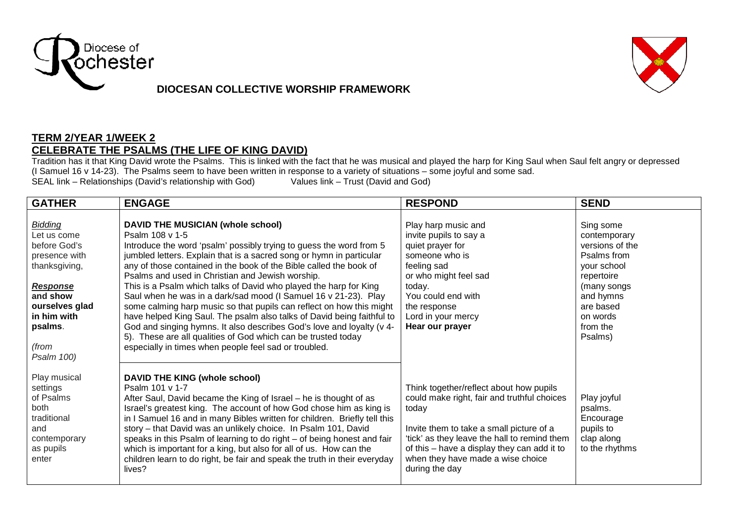

## **DIOCESAN COLLECTIVE WORSHIP FRAMEWORK**



## **TERM 2/YEAR 1/WEEK 2 CELEBRATE THE PSALMS (THE LIFE OF KING DAVID)**

Tradition has it that King David wrote the Psalms. This is linked with the fact that he was musical and played the harp for King Saul when Saul felt angry or depressed Tradition has it that King David wrote the Psalms. Thi (I Samuel 16 v 14-23). The Psalms seem to have been written in response to a variety of situations – some joyful and some sad.<br>SEAL link – Relationships (David's relationship with God) Values link – Trust (David and God) SEAL link – Relationships (David's relationship with God)

| <b>GATHER</b>                                                                                                                                                              | <b>ENGAGE</b>                                                                                                                                                                                                                                                                                                                                                                                                                                                                                                                                                                                                                                                                                                                                                                                                              | <b>RESPOND</b>                                                                                                                                                                                                                                                                                    | <b>SEND</b>                                                                                                                                                          |
|----------------------------------------------------------------------------------------------------------------------------------------------------------------------------|----------------------------------------------------------------------------------------------------------------------------------------------------------------------------------------------------------------------------------------------------------------------------------------------------------------------------------------------------------------------------------------------------------------------------------------------------------------------------------------------------------------------------------------------------------------------------------------------------------------------------------------------------------------------------------------------------------------------------------------------------------------------------------------------------------------------------|---------------------------------------------------------------------------------------------------------------------------------------------------------------------------------------------------------------------------------------------------------------------------------------------------|----------------------------------------------------------------------------------------------------------------------------------------------------------------------|
| Bidding<br>Let us come<br>before God's<br>presence with<br>thanksgiving,<br><b>Response</b><br>and show<br>ourselves glad<br>in him with<br>psalms.<br>(from<br>Psalm 100) | DAVID THE MUSICIAN (whole school)<br>Psalm 108 v 1-5<br>Introduce the word 'psalm' possibly trying to guess the word from 5<br>jumbled letters. Explain that is a sacred song or hymn in particular<br>any of those contained in the book of the Bible called the book of<br>Psalms and used in Christian and Jewish worship.<br>This is a Psalm which talks of David who played the harp for King<br>Saul when he was in a dark/sad mood (I Samuel 16 v 21-23). Play<br>some calming harp music so that pupils can reflect on how this might<br>have helped King Saul. The psalm also talks of David being faithful to<br>God and singing hymns. It also describes God's love and loyalty (v 4-<br>5). These are all qualities of God which can be trusted today<br>especially in times when people feel sad or troubled. | Play harp music and<br>invite pupils to say a<br>quiet prayer for<br>someone who is<br>feeling sad<br>or who might feel sad<br>today.<br>You could end with<br>the response<br>Lord in your mercy<br>Hear our prayer                                                                              | Sing some<br>contemporary<br>versions of the<br>Psalms from<br>your school<br>repertoire<br>(many songs<br>and hymns<br>are based<br>on words<br>from the<br>Psalms) |
| Play musical<br>settings<br>of Psalms<br>both<br>traditional<br>and<br>contemporary<br>as pupils<br>enter                                                                  | DAVID THE KING (whole school)<br>Psalm 101 v 1-7<br>After Saul, David became the King of Israel - he is thought of as<br>Israel's greatest king. The account of how God chose him as king is<br>in I Samuel 16 and in many Bibles written for children. Briefly tell this<br>story - that David was an unlikely choice. In Psalm 101, David<br>speaks in this Psalm of learning to do right – of being honest and fair<br>which is important for a king, but also for all of us. How can the<br>children learn to do right, be fair and speak the truth in their everyday<br>lives?                                                                                                                                                                                                                                        | Think together/reflect about how pupils<br>could make right, fair and truthful choices<br>today<br>Invite them to take a small picture of a<br>'tick' as they leave the hall to remind them<br>of this – have a display they can add it to<br>when they have made a wise choice<br>during the day | Play joyful<br>psalms.<br>Encourage<br>pupils to<br>clap along<br>to the rhythms                                                                                     |